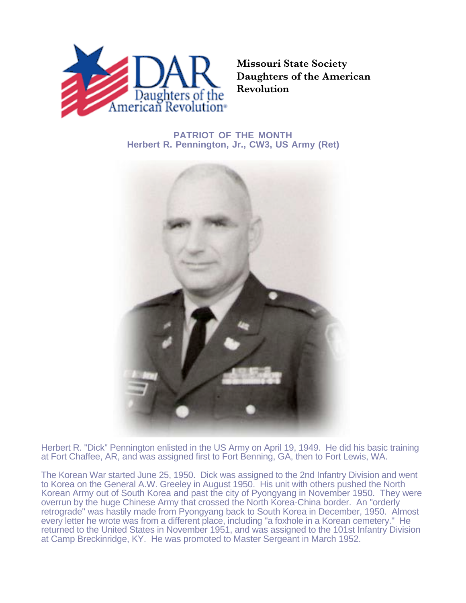

**Missouri State Society Daughters of the American Revolution**

## **PATRIOT OF THE MONTH Herbert R. Pennington, Jr., CW3, US Army (Ret)**



Herbert R. "Dick" Pennington enlisted in the US Army on April 19, 1949. He did his basic training at Fort Chaffee, AR, and was assigned first to Fort Benning, GA, then to Fort Lewis, WA.

The Korean War started June 25, 1950. Dick was assigned to the 2nd Infantry Division and went to Korea on the General A.W. Greeley in August 1950. His unit with others pushed the North Korean Army out of South Korea and past the city of Pyongyang in November 1950. They were overrun by the huge Chinese Army that crossed the North Korea-China border. An "orderly retrograde" was hastily made from Pyongyang back to South Korea in December, 1950. Almost every letter he wrote was from a different place, including "a foxhole in a Korean cemetery." He returned to the United States in November 1951, and was assigned to the 101st Infantry Division at Camp Breckinridge, KY. He was promoted to Master Sergeant in March 1952.